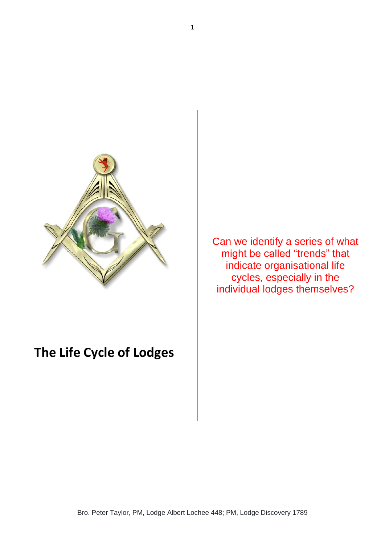

## **The Life Cycle of Lodges**

Can we identify a series of what might be called "trends" that indicate organisational life cycles, especially in the individual lodges themselves?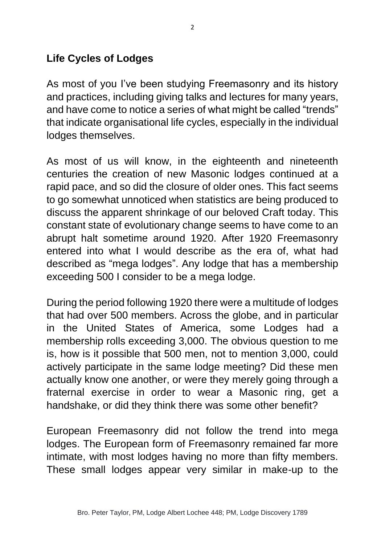## **Life Cycles of Lodges**

As most of you I've been studying Freemasonry and its history and practices, including giving talks and lectures for many years, and have come to notice a series of what might be called "trends" that indicate organisational life cycles, especially in the individual lodges themselves.

As most of us will know, in the eighteenth and nineteenth centuries the creation of new Masonic lodges continued at a rapid pace, and so did the closure of older ones. This fact seems to go somewhat unnoticed when statistics are being produced to discuss the apparent shrinkage of our beloved Craft today. This constant state of evolutionary change seems to have come to an abrupt halt sometime around 1920. After 1920 Freemasonry entered into what I would describe as the era of, what had described as "mega lodges". Any lodge that has a membership exceeding 500 I consider to be a mega lodge.

During the period following 1920 there were a multitude of lodges that had over 500 members. Across the globe, and in particular in the United States of America, some Lodges had a membership rolls exceeding 3,000. The obvious question to me is, how is it possible that 500 men, not to mention 3,000, could actively participate in the same lodge meeting? Did these men actually know one another, or were they merely going through a fraternal exercise in order to wear a Masonic ring, get a handshake, or did they think there was some other benefit?

European Freemasonry did not follow the trend into mega lodges. The European form of Freemasonry remained far more intimate, with most lodges having no more than fifty members. These small lodges appear very similar in make-up to the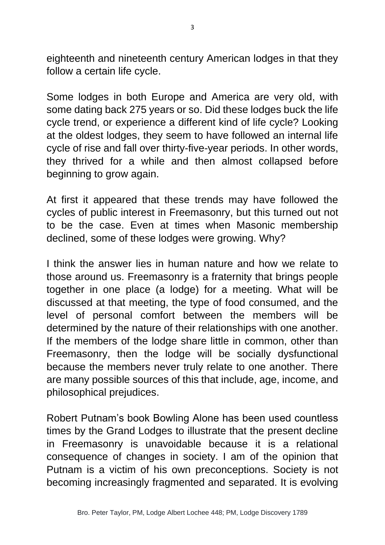eighteenth and nineteenth century American lodges in that they follow a certain life cycle.

Some lodges in both Europe and America are very old, with some dating back 275 years or so. Did these lodges buck the life cycle trend, or experience a different kind of life cycle? Looking at the oldest lodges, they seem to have followed an internal life cycle of rise and fall over thirty-five-year periods. In other words, they thrived for a while and then almost collapsed before beginning to grow again.

At first it appeared that these trends may have followed the cycles of public interest in Freemasonry, but this turned out not to be the case. Even at times when Masonic membership declined, some of these lodges were growing. Why?

I think the answer lies in human nature and how we relate to those around us. Freemasonry is a fraternity that brings people together in one place (a lodge) for a meeting. What will be discussed at that meeting, the type of food consumed, and the level of personal comfort between the members will be determined by the nature of their relationships with one another. If the members of the lodge share little in common, other than Freemasonry, then the lodge will be socially dysfunctional because the members never truly relate to one another. There are many possible sources of this that include, age, income, and philosophical prejudices.

Robert Putnam's book Bowling Alone has been used countless times by the Grand Lodges to illustrate that the present decline in Freemasonry is unavoidable because it is a relational consequence of changes in society. I am of the opinion that Putnam is a victim of his own preconceptions. Society is not becoming increasingly fragmented and separated. It is evolving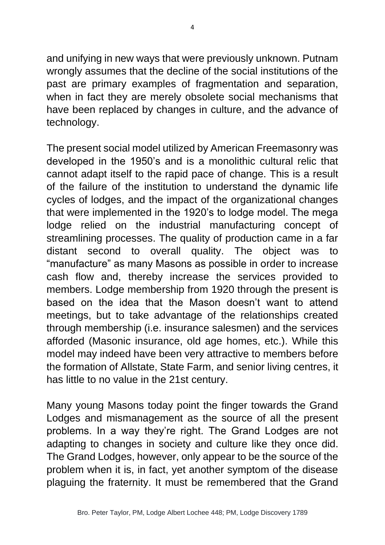and unifying in new ways that were previously unknown. Putnam wrongly assumes that the decline of the social institutions of the past are primary examples of fragmentation and separation, when in fact they are merely obsolete social mechanisms that have been replaced by changes in culture, and the advance of technology.

The present social model utilized by American Freemasonry was developed in the 1950's and is a monolithic cultural relic that cannot adapt itself to the rapid pace of change. This is a result of the failure of the institution to understand the dynamic life cycles of lodges, and the impact of the organizational changes that were implemented in the 1920's to lodge model. The mega lodge relied on the industrial manufacturing concept of streamlining processes. The quality of production came in a far distant second to overall quality. The object was to "manufacture" as many Masons as possible in order to increase cash flow and, thereby increase the services provided to members. Lodge membership from 1920 through the present is based on the idea that the Mason doesn't want to attend meetings, but to take advantage of the relationships created through membership (i.e. insurance salesmen) and the services afforded (Masonic insurance, old age homes, etc.). While this model may indeed have been very attractive to members before the formation of Allstate, State Farm, and senior living centres, it has little to no value in the 21st century.

Many young Masons today point the finger towards the Grand Lodges and mismanagement as the source of all the present problems. In a way they're right. The Grand Lodges are not adapting to changes in society and culture like they once did. The Grand Lodges, however, only appear to be the source of the problem when it is, in fact, yet another symptom of the disease plaguing the fraternity. It must be remembered that the Grand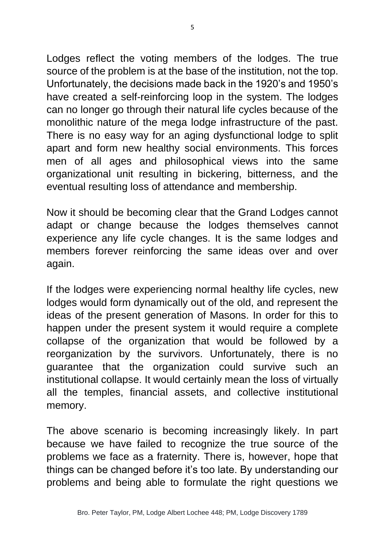Lodges reflect the voting members of the lodges. The true source of the problem is at the base of the institution, not the top. Unfortunately, the decisions made back in the 1920's and 1950's have created a self-reinforcing loop in the system. The lodges can no longer go through their natural life cycles because of the monolithic nature of the mega lodge infrastructure of the past. There is no easy way for an aging dysfunctional lodge to split apart and form new healthy social environments. This forces men of all ages and philosophical views into the same organizational unit resulting in bickering, bitterness, and the eventual resulting loss of attendance and membership.

Now it should be becoming clear that the Grand Lodges cannot adapt or change because the lodges themselves cannot experience any life cycle changes. It is the same lodges and members forever reinforcing the same ideas over and over again.

If the lodges were experiencing normal healthy life cycles, new lodges would form dynamically out of the old, and represent the ideas of the present generation of Masons. In order for this to happen under the present system it would require a complete collapse of the organization that would be followed by a reorganization by the survivors. Unfortunately, there is no guarantee that the organization could survive such an institutional collapse. It would certainly mean the loss of virtually all the temples, financial assets, and collective institutional memory.

The above scenario is becoming increasingly likely. In part because we have failed to recognize the true source of the problems we face as a fraternity. There is, however, hope that things can be changed before it's too late. By understanding our problems and being able to formulate the right questions we